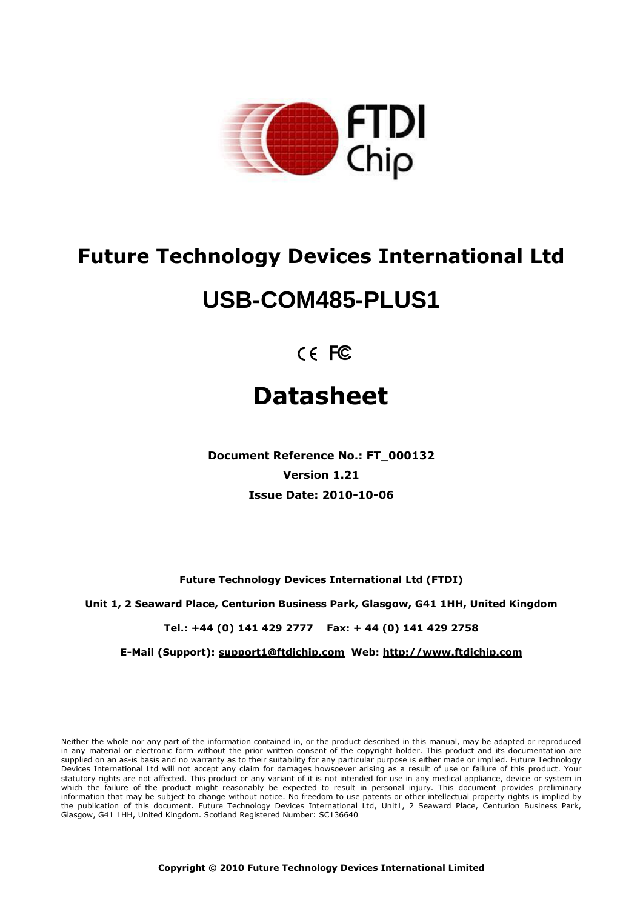

# **Future Technology Devices International Ltd**

# **USB-COM485-PLUS1**

 $C \in FC$ 

# **Datasheet**

**Document Reference No.: FT\_000132 Version 1.21 Issue Date: 2010-10-06**

**Future Technology Devices International Ltd (FTDI)**

**Unit 1, 2 Seaward Place, Centurion Business Park, Glasgow, G41 1HH, United Kingdom**

**Tel.: +44 (0) 141 429 2777 Fax: + 44 (0) 141 429 2758**

**E-Mail (Support): support1@ftdichip.com Web: http://www.ftdichip.com**

Neither the whole nor any part of the information contained in, or the product described in this manual, may be adapted or reproduced in any material or electronic form without the prior written consent of the copyright holder. This product and its documentation are supplied on an as-is basis and no warranty as to their suitability for any particular purpose is either made or implied. Future Technology Devices International Ltd will not accept any claim for damages howsoever arising as a result of use or failure of this product. Your statutory rights are not affected. This product or any variant of it is not intended for use in any medical appliance, device or system in which the failure of the product might reasonably be expected to result in personal injury. This document provides preliminary information that may be subject to change without notice. No freedom to use patents or other intellectual property rights is implied by the publication of this document. Future Technology Devices International Ltd, Unit1, 2 Seaward Place, Centurion Business Park, Glasgow, G41 1HH, United Kingdom. Scotland Registered Number: SC136640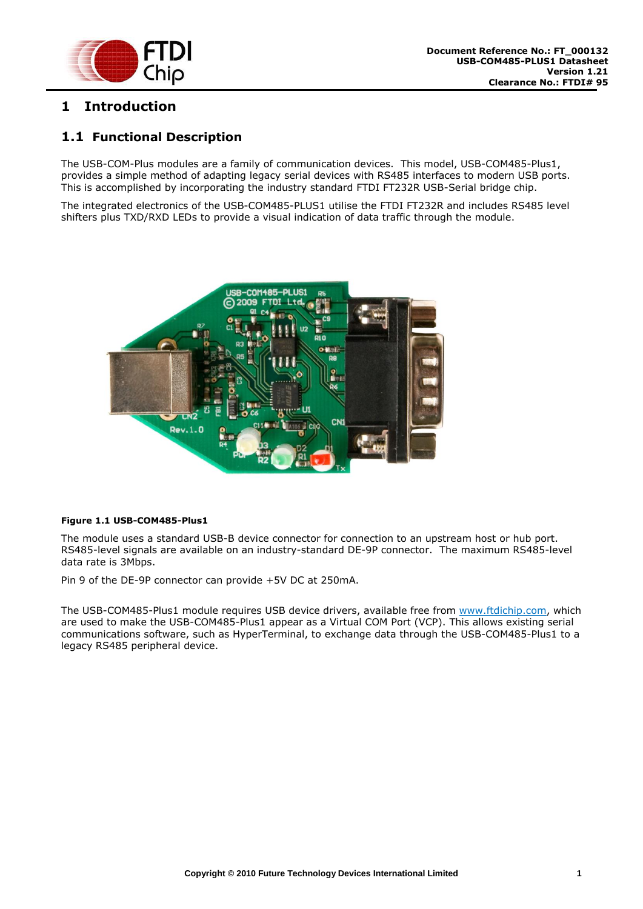

# <span id="page-1-0"></span>**1 Introduction**

# <span id="page-1-1"></span>**1.1 Functional Description**

The USB-COM-Plus modules are a family of communication devices. This model, USB-COM485-Plus1, provides a simple method of adapting legacy serial devices with RS485 interfaces to modern USB ports. This is accomplished by incorporating the industry standard FTDI FT232R USB-Serial bridge chip.

The integrated electronics of the USB-COM485-PLUS1 utilise the FTDI FT232R and includes RS485 level shifters plus TXD/RXD LEDs to provide a visual indication of data traffic through the module.



#### <span id="page-1-2"></span>**Figure 1.1 USB-COM485-Plus1**

The module uses a standard USB-B device connector for connection to an upstream host or hub port. RS485-level signals are available on an industry-standard DE-9P connector. The maximum RS485-level data rate is 3Mbps.

Pin 9 of the DE-9P connector can provide +5V DC at 250mA.

The USB-COM485-Plus1 module requires USB device drivers, available free from [www.ftdichip.com,](http://www.ftdichip.com/) which are used to make the USB-COM485-Plus1 appear as a Virtual COM Port (VCP). This allows existing serial communications software, such as HyperTerminal, to exchange data through the USB-COM485-Plus1 to a legacy RS485 peripheral device.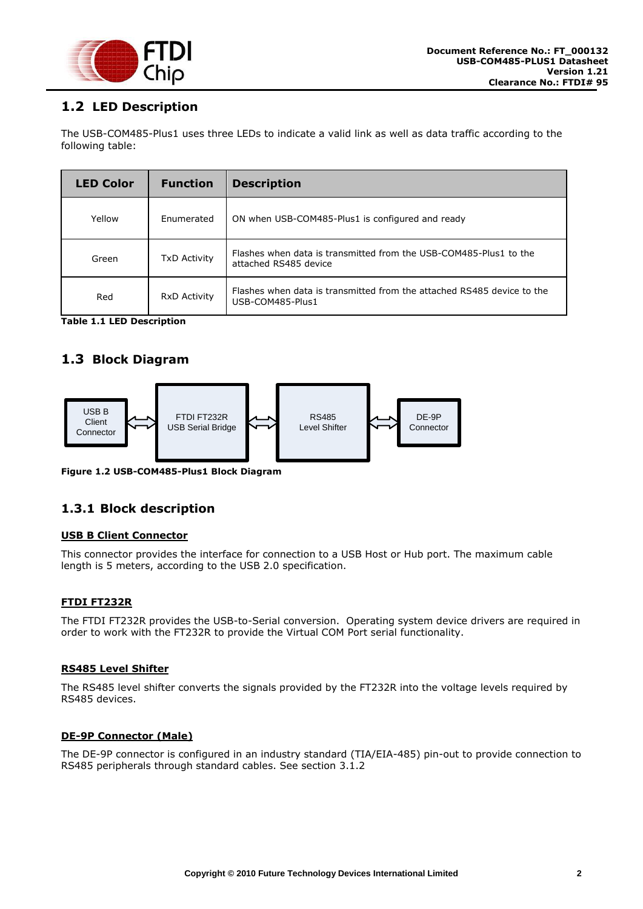

# <span id="page-2-0"></span>**1.2 LED Description**

The USB-COM485-Plus1 uses three LEDs to indicate a valid link as well as data traffic according to the following table:

| <b>LED Color</b> | <b>Function</b>     | <b>Description</b>                                                                         |  |
|------------------|---------------------|--------------------------------------------------------------------------------------------|--|
| Yellow           | Enumerated          | ON when USB-COM485-Plus1 is configured and ready                                           |  |
| Green            | <b>TxD Activity</b> | Flashes when data is transmitted from the USB-COM485-Plus1 to the<br>attached RS485 device |  |
| Red              | <b>RxD Activity</b> | Flashes when data is transmitted from the attached RS485 device to the<br>USB-COM485-Plus1 |  |

<span id="page-2-4"></span>**Table 1.1 LED Description**

# <span id="page-2-1"></span>**1.3 Block Diagram**



<span id="page-2-3"></span>**Figure 1.2 USB-COM485-Plus1 Block Diagram**

#### <span id="page-2-2"></span>**1.3.1 Block description**

#### **USB B Client Connector**

This connector provides the interface for connection to a USB Host or Hub port. The maximum cable length is 5 meters, according to the USB 2.0 specification.

#### **FTDI FT232R**

The FTDI FT232R provides the USB-to-Serial conversion. Operating system device drivers are required in order to work with the FT232R to provide the Virtual COM Port serial functionality.

#### **RS485 Level Shifter**

The RS485 level shifter converts the signals provided by the FT232R into the voltage levels required by RS485 devices.

#### **DE-9P Connector (Male)**

The DE-9P connector is configured in an industry standard (TIA/EIA-485) pin-out to provide connection to RS485 peripherals through standard cables. See section [3.1.2](#page-11-0)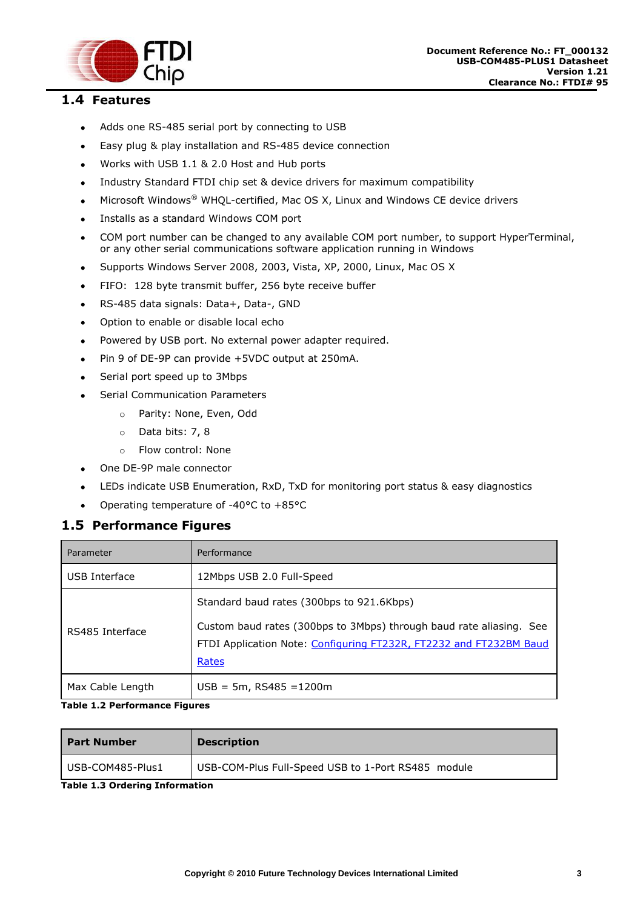

## <span id="page-3-0"></span>**1.4 Features**

 $\bullet$ 

- Adds one RS-485 serial port by connecting to USB  $\bullet$
- Easy plug & play installation and RS-485 device connection  $\bullet$
- Works with USB 1.1 & 2.0 Host and Hub ports  $\bullet$
- Industry Standard FTDI chip set & device drivers for maximum compatibility  $\bullet$
- Microsoft Windows® WHQL-certified, Mac OS X, Linux and Windows CE device drivers  $\bullet$
- Installs as a standard Windows COM port  $\bullet$
- COM port number can be changed to any available COM port number, to support HyperTerminal,  $\bullet$ or any other serial communications software application running in Windows
- Supports Windows Server 2008, 2003, Vista, XP, 2000, Linux, Mac OS X  $\bullet$
- FIFO: 128 byte transmit buffer, 256 byte receive buffer  $\bullet$
- RS-485 data signals: Data+, Data-, GND  $\bullet$
- Option to enable or disable local echo  $\bullet$
- Powered by USB port. No external power adapter required.  $\bullet$
- Pin 9 of DE-9P can provide +5VDC output at 250mA.  $\bullet$
- Serial port speed up to 3Mbps  $\bullet$ 
	- Serial Communication Parameters
		- o Parity: None, Even, Odd
		- o Data bits: 7, 8
		- o Flow control: None
- One DE-9P male connector  $\bullet$
- LEDs indicate USB Enumeration, RxD, TxD for monitoring port status & easy diagnostics
- Operating temperature of -40°C to +85°C  $\bullet$

#### <span id="page-3-1"></span>**1.5 Performance Figures**

| Parameter        | Performance                                                                                                                                                                                     |
|------------------|-------------------------------------------------------------------------------------------------------------------------------------------------------------------------------------------------|
| USB Interface    | 12Mbps USB 2.0 Full-Speed                                                                                                                                                                       |
| RS485 Interface  | Standard baud rates (300bps to 921.6Kbps)<br>Custom baud rates (300bps to 3Mbps) through baud rate aliasing. See<br>FTDI Application Note: Configuring FT232R, FT2232 and FT232BM Baud<br>Rates |
| Max Cable Length | $USE = 5m, RS485 = 1200m$                                                                                                                                                                       |

#### <span id="page-3-2"></span>**Table 1.2 Performance Figures**

| <b>Part Number</b> | <b>Description</b>                                 |
|--------------------|----------------------------------------------------|
| USB-COM485-Plus1   | USB-COM-Plus Full-Speed USB to 1-Port RS485 module |

<span id="page-3-3"></span>**Table 1.3 Ordering Information**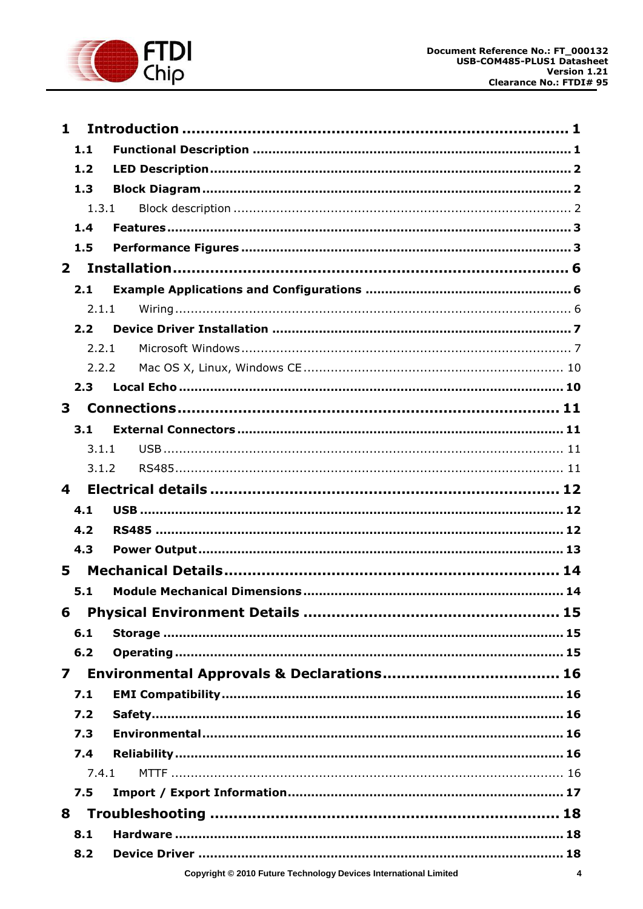

| $\mathbf{1}$            |       |                                                                       |  |  |  |
|-------------------------|-------|-----------------------------------------------------------------------|--|--|--|
|                         | 1.1   |                                                                       |  |  |  |
|                         | 1.2   |                                                                       |  |  |  |
|                         | 1.3   |                                                                       |  |  |  |
|                         | 1.3.1 |                                                                       |  |  |  |
|                         | 1.4   |                                                                       |  |  |  |
|                         | 1.5   |                                                                       |  |  |  |
| $\mathbf{2}$            |       |                                                                       |  |  |  |
|                         | 2.1   |                                                                       |  |  |  |
|                         | 2.1.1 |                                                                       |  |  |  |
|                         | 2.2   |                                                                       |  |  |  |
|                         | 2.2.1 |                                                                       |  |  |  |
|                         | 2.2.2 |                                                                       |  |  |  |
|                         | 2.3   |                                                                       |  |  |  |
| 3                       |       |                                                                       |  |  |  |
|                         | 3.1   |                                                                       |  |  |  |
|                         | 3.1.1 |                                                                       |  |  |  |
|                         | 3.1.2 |                                                                       |  |  |  |
| 4                       |       |                                                                       |  |  |  |
|                         | 4.1   |                                                                       |  |  |  |
|                         | 4.2   |                                                                       |  |  |  |
|                         | 4.3   |                                                                       |  |  |  |
| 5                       |       |                                                                       |  |  |  |
|                         | 5.1   |                                                                       |  |  |  |
| 6                       |       |                                                                       |  |  |  |
|                         | 6.1   |                                                                       |  |  |  |
|                         | 6.2   |                                                                       |  |  |  |
| $\overline{\mathbf{z}}$ |       |                                                                       |  |  |  |
|                         | 7.1   |                                                                       |  |  |  |
|                         | 7.2   |                                                                       |  |  |  |
|                         | 7.3   |                                                                       |  |  |  |
|                         | 7.4   |                                                                       |  |  |  |
|                         | 7.4.1 |                                                                       |  |  |  |
|                         | 7.5   |                                                                       |  |  |  |
| 8                       |       |                                                                       |  |  |  |
|                         | 8.1   |                                                                       |  |  |  |
|                         | 8.2   |                                                                       |  |  |  |
|                         |       | Copyright © 2010 Future Technology Devices International Limited<br>4 |  |  |  |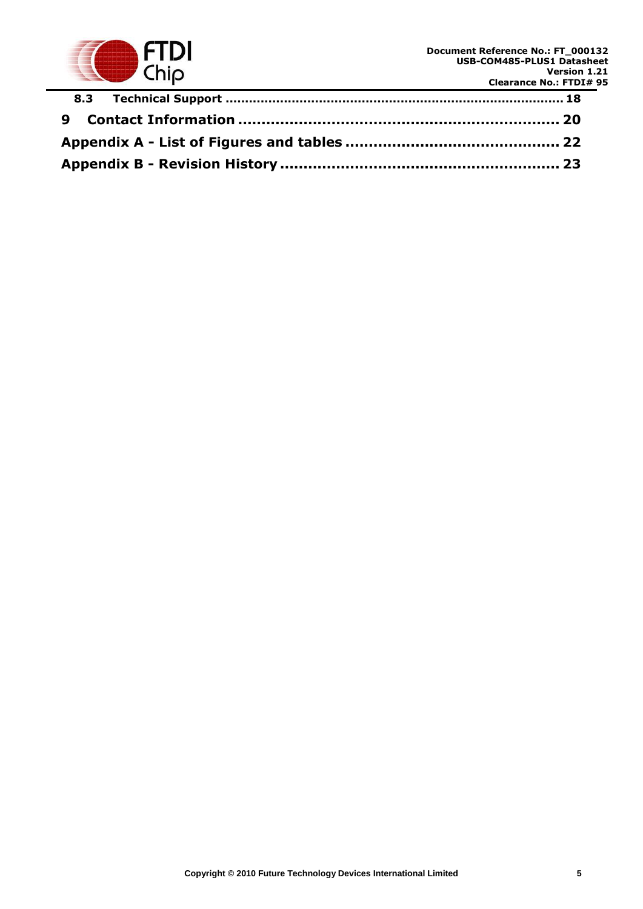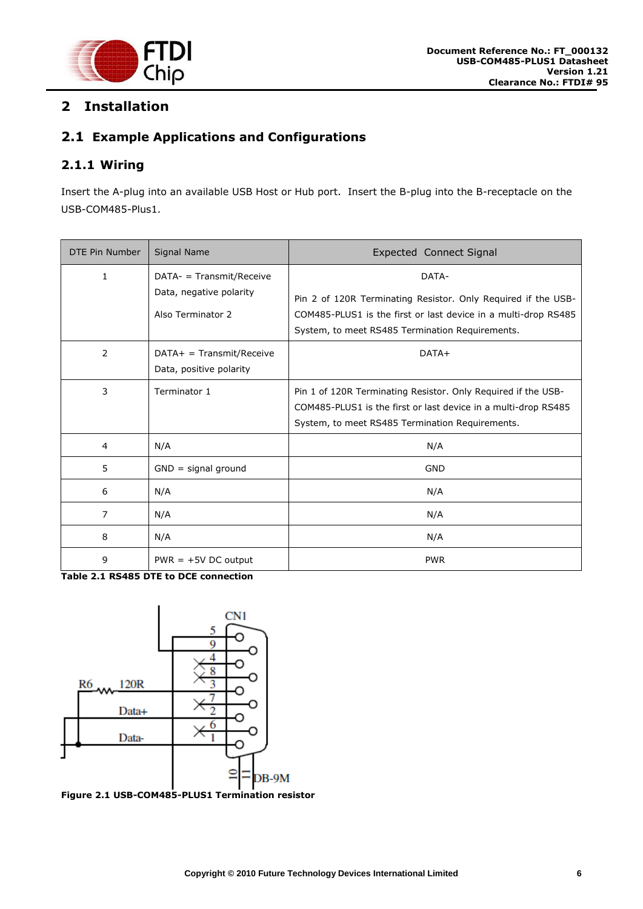

# <span id="page-6-0"></span>**2 Installation**

# <span id="page-6-1"></span>**2.1 Example Applications and Configurations**

# <span id="page-6-2"></span>**2.1.1 Wiring**

Insert the A-plug into an available USB Host or Hub port. Insert the B-plug into the B-receptacle on the USB-COM485-Plus1.

| DTE Pin Number | Signal Name                                                                | <b>Expected Connect Signal</b>                                                                                                                                                              |
|----------------|----------------------------------------------------------------------------|---------------------------------------------------------------------------------------------------------------------------------------------------------------------------------------------|
| 1              | $DATA-$ = Transmit/Receive<br>Data, negative polarity<br>Also Terminator 2 | DATA-<br>Pin 2 of 120R Terminating Resistor. Only Required if the USB-<br>COM485-PLUS1 is the first or last device in a multi-drop RS485<br>System, to meet RS485 Termination Requirements. |
| 2              | $DATA+ = Transmit/Receive$<br>Data, positive polarity                      | $DATA+$                                                                                                                                                                                     |
| 3              | Terminator 1                                                               | Pin 1 of 120R Terminating Resistor. Only Required if the USB-<br>COM485-PLUS1 is the first or last device in a multi-drop RS485<br>System, to meet RS485 Termination Requirements.          |
| 4              | N/A                                                                        | N/A                                                                                                                                                                                         |
| 5              | $GND =$ signal ground                                                      | <b>GND</b>                                                                                                                                                                                  |
| 6              | N/A                                                                        | N/A                                                                                                                                                                                         |
| 7              | N/A                                                                        | N/A                                                                                                                                                                                         |
| 8              | N/A                                                                        | N/A                                                                                                                                                                                         |
| 9              | $PWR = +5V DC$ output                                                      | <b>PWR</b>                                                                                                                                                                                  |

<span id="page-6-4"></span>**Table 2.1 RS485 DTE to DCE connection**



<span id="page-6-3"></span>**Figure 2.1 USB-COM485-PLUS1 Termination resistor**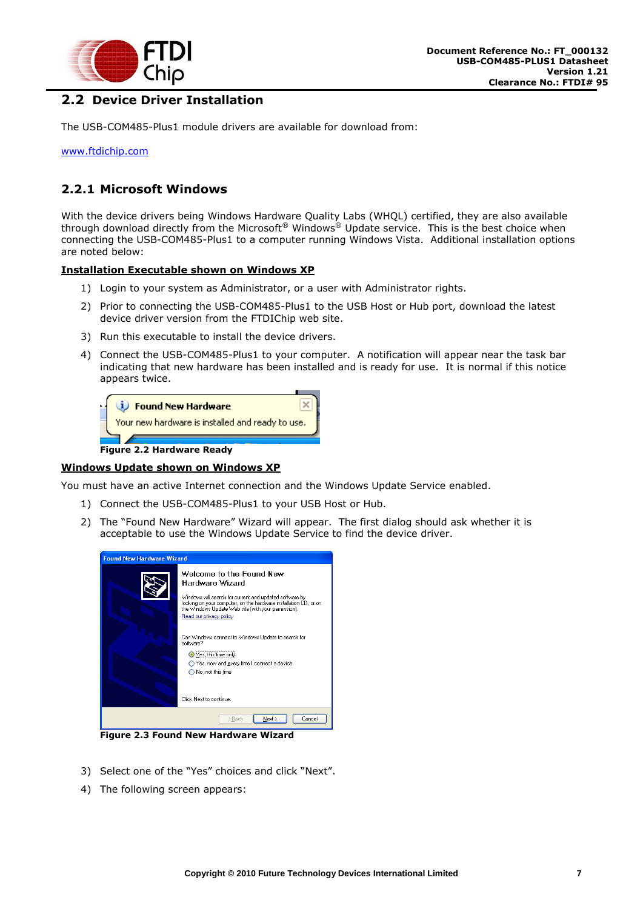

# <span id="page-7-0"></span>**2.2 Device Driver Installation**

The USB-COM485-Plus1 module drivers are available for download from:

[www.ftdichip.com](file:///C:/Documents%20and%20Settings/maryam.mohammed/My%20Documents/SharePoint%20Drafts/www.ftdichip.com)

#### <span id="page-7-1"></span>**2.2.1 Microsoft Windows**

With the device drivers being Windows Hardware Quality Labs (WHQL) certified, they are also available through download directly from the Microsoft<sup>®</sup> Windows® Update service. This is the best choice when connecting the USB-COM485-Plus1 to a computer running Windows Vista. Additional installation options are noted below:

#### **Installation Executable shown on Windows XP**

- 1) Login to your system as Administrator, or a user with Administrator rights.
- 2) Prior to connecting the USB-COM485-Plus1 to the USB Host or Hub port, download the latest device driver version from the FTDIChip web site.
- 3) Run this executable to install the device drivers.
- 4) Connect the USB-COM485-Plus1 to your computer. A notification will appear near the task bar indicating that new hardware has been installed and is ready for use. It is normal if this notice appears twice.



#### <span id="page-7-2"></span>**Windows Update shown on Windows XP**

You must have an active Internet connection and the Windows Update Service enabled.

- 1) Connect the USB-COM485-Plus1 to your USB Host or Hub.
- 2) The "Found New Hardware" Wizard will appear. The first dialog should ask whether it is acceptable to use the Windows Update Service to find the device driver.

| <b>Found New Hardware Wizard</b> |                                                                                                                                                                                                                                                                                                                                                                                                                                                                     |  |
|----------------------------------|---------------------------------------------------------------------------------------------------------------------------------------------------------------------------------------------------------------------------------------------------------------------------------------------------------------------------------------------------------------------------------------------------------------------------------------------------------------------|--|
|                                  | Welcome to the Found New<br>Hardware Wizard<br>Windows will search for current and updated software by<br>looking on your computer, on the hardware installation CD, or on<br>the Windows Update Web site (with your permission).<br>Read our privacy policy<br>Can Windows connect to Windows Update to search for<br>software?<br>● Yes, this time only!<br>Yes, now and every time I connect a device<br>$\bigcirc$ No, not this time<br>Click Next to continue. |  |
|                                  | Next<br>< Back<br>Cancel                                                                                                                                                                                                                                                                                                                                                                                                                                            |  |

<span id="page-7-3"></span>**Figure 2.3 Found New Hardware Wizard**

- 3) Select one of the "Yes" choices and click "Next".
- 4) The following screen appears: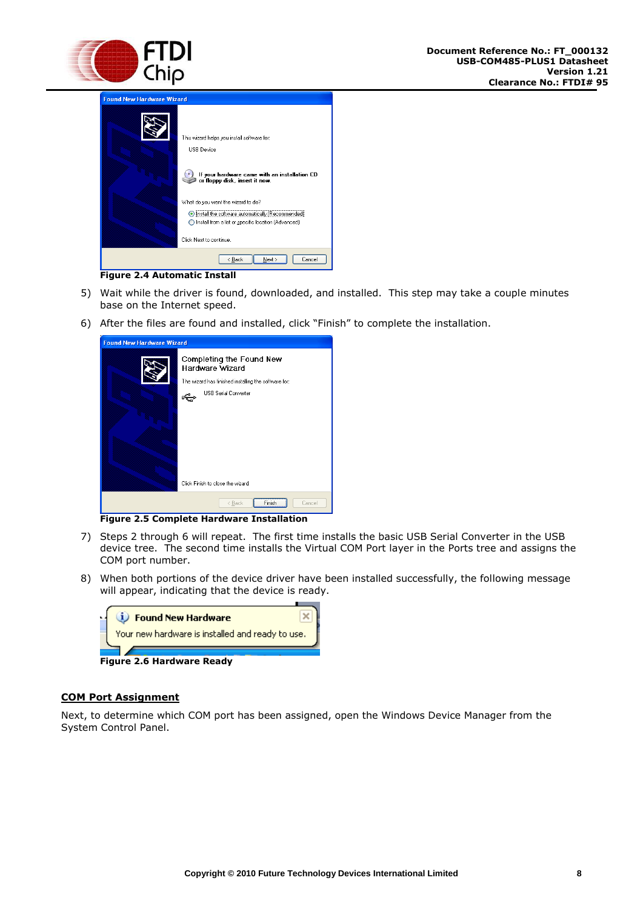

| <b>Found New Hardware Wizard</b> |                                                                                                                                                                                                                                                                                                                                 |  |  |  |
|----------------------------------|---------------------------------------------------------------------------------------------------------------------------------------------------------------------------------------------------------------------------------------------------------------------------------------------------------------------------------|--|--|--|
|                                  | This wizard helps you install software for:<br><b>USB</b> Device<br>If your hardware came with an installation CD<br>or floppy disk, insert it now.<br>What do you want the wizard to do?<br>Install the software automatically (Recommended)<br>Install from a list or specific location (Advanced)<br>Click Next to continue. |  |  |  |
|                                  | Mext<br>< Back<br>Cancel                                                                                                                                                                                                                                                                                                        |  |  |  |

**Figure 2.4 Automatic Install**

- <span id="page-8-0"></span>5) Wait while the driver is found, downloaded, and installed. This step may take a couple minutes base on the Internet speed.
- 6) After the files are found and installed, click "Finish" to complete the installation.

| <b>Found New Hardware Wizard</b>                                                                                                                                        |  |  |
|-------------------------------------------------------------------------------------------------------------------------------------------------------------------------|--|--|
| Completing the Found New<br>Hardware Wizard<br>The wizard has finished installing the software for:<br><b>USB Serial Converter</b><br>Click Finish to close the wizard. |  |  |
| < Back<br>Cancel<br>Finish<br>۰<br><br>٠                                                                                                                                |  |  |

**Figure 2.5 Complete Hardware Installation**

- <span id="page-8-1"></span>7) Steps 2 through 6 will repeat. The first time installs the basic USB Serial Converter in the USB device tree. The second time installs the Virtual COM Port layer in the Ports tree and assigns the COM port number.
- 8) When both portions of the device driver have been installed successfully, the following message will appear, indicating that the device is ready.



#### <span id="page-8-2"></span>**COM Port Assignment**

Next, to determine which COM port has been assigned, open the Windows Device Manager from the System Control Panel.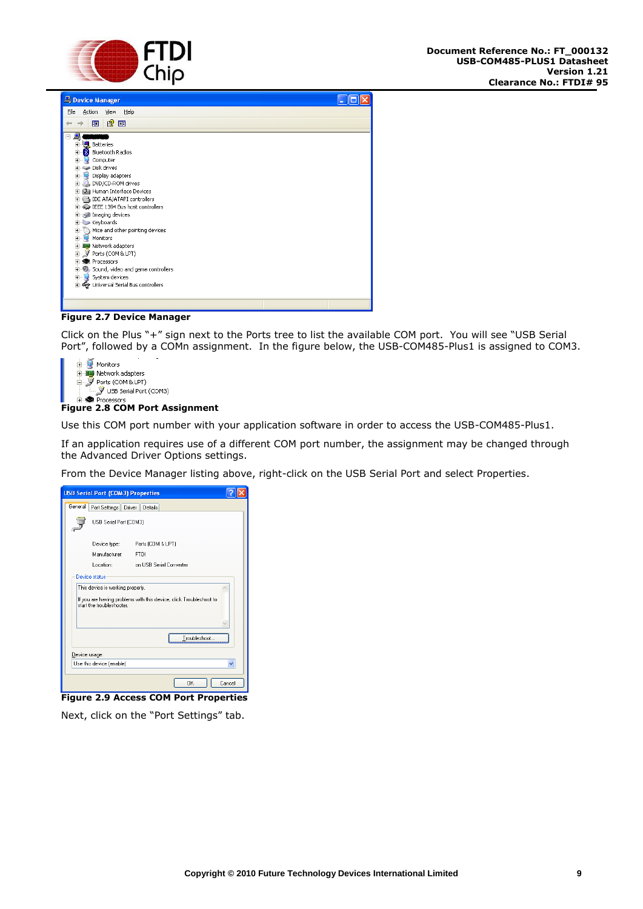



**Figure 2.7 Device Manager**

<span id="page-9-0"></span>Click on the Plus "+" sign next to the Ports tree to list the available COM port. You will see "USB Serial Port", followed by a COMn assignment. In the figure below, the USB-COM485-Plus1 is assigned to COM3.

| <b>H</b> -图2 Network adapters         |
|---------------------------------------|
| 白. y Ports (COM & LPT)                |
|                                       |
| H-<br><b>RE</b><br><b>Processors</b>  |
| <b>Figure 2.8 COM Port Assignment</b> |

<span id="page-9-1"></span>Use this COM port number with your application software in order to access the USB-COM485-Plus1.

If an application requires use of a different COM port number, the assignment may be changed through the Advanced Driver Options settings.

From the Device Manager listing above, right-click on the USB Serial Port and select Properties.

|         | <b>USB Serial Port (COM3) Properties</b> |                                                                    |
|---------|------------------------------------------|--------------------------------------------------------------------|
| General | Port Settings                            | Driver Details                                                     |
|         | USB Serial Port (COM3)                   |                                                                    |
|         | Device type:                             | Ports (COM & LPT)                                                  |
|         | Manufacturer:                            | <b>FTDI</b>                                                        |
|         | Location:                                | on USB Serial Converter                                            |
|         | This device is working properly.         | If you are having problems with this device, click Troubleshoot to |
|         | start the troubleshooter.                | Troubleshoot                                                       |
|         | Device usage:                            |                                                                    |
|         | Use this device (enable)                 |                                                                    |

<span id="page-9-2"></span>Next, click on the "Port Settings" tab.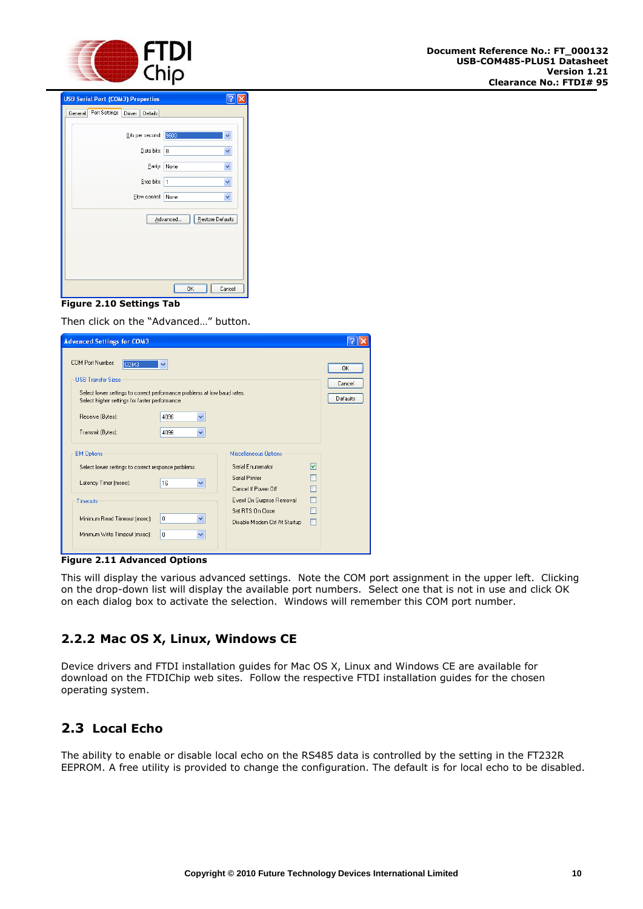

| <b>USB Serial Port (COM3) Properties</b>      |                              |        |
|-----------------------------------------------|------------------------------|--------|
| Port Settings<br>Driver<br>General<br>Details |                              |        |
| Bits per second: 9600                         |                              | v      |
| Data bits: 8                                  |                              | v      |
| Parity:                                       | None                         | v      |
| Stop bits: 1                                  |                              | ×      |
| Flow control:                                 | None                         | ×      |
|                                               | Restore Defaults<br>Advanced |        |
|                                               |                              |        |
|                                               |                              |        |
|                                               | OK                           | Cancel |

#### <span id="page-10-2"></span>**Figure 2.10 Settings Tab**

Then click on the "Advanced…" button.

| <b>Advanced Settings for COM3</b>                                                                                                                                                                                                                 |                                                                                                                                                                                                                                        |                          |
|---------------------------------------------------------------------------------------------------------------------------------------------------------------------------------------------------------------------------------------------------|----------------------------------------------------------------------------------------------------------------------------------------------------------------------------------------------------------------------------------------|--------------------------|
| COM Port Number:<br>COM3<br>v<br><b>USB Transfer Sizes</b><br>Select lower settings to correct performance problems at low baud rates.<br>Select higher settings for faster performance.<br>Receive (Bytes):<br>4096<br>Transmit (Bytes):<br>4096 | ×<br>$\checkmark$                                                                                                                                                                                                                      | 0K<br>Cancel<br>Defaults |
| <b>BM Options</b><br>Select lower settings to correct response problems.<br>Latency Timer (msec):<br>16<br>Timeouts<br>0<br>Minimum Read Timeout (msec):<br>Minimum Write Timeout (msec):<br>0.                                                   | <b>Miscellaneous Options</b><br>Serial Enumerator<br>罓<br>Serial Printer<br>$\checkmark$<br>Cancel If Power Off<br>Event On Surprise Removal<br>П<br>Set RTS On Close<br>$\checkmark$<br>Disable Modem Ctrl At Startup<br>$\checkmark$ |                          |

<span id="page-10-3"></span>**Figure 2.11 Advanced Options** 

This will display the various advanced settings. Note the COM port assignment in the upper left. Clicking on the drop-down list will display the available port numbers. Select one that is not in use and click OK on each dialog box to activate the selection. Windows will remember this COM port number.

#### <span id="page-10-0"></span>**2.2.2 Mac OS X, Linux, Windows CE**

Device drivers and FTDI installation guides for Mac OS X, Linux and Windows CE are available for download on the FTDIChip web sites. Follow the respective FTDI installation guides for the chosen operating system.

# <span id="page-10-1"></span>**2.3 Local Echo**

The ability to enable or disable local echo on the RS485 data is controlled by the setting in the FT232R EEPROM. A free utility is provided to change the configuration. The default is for local echo to be disabled.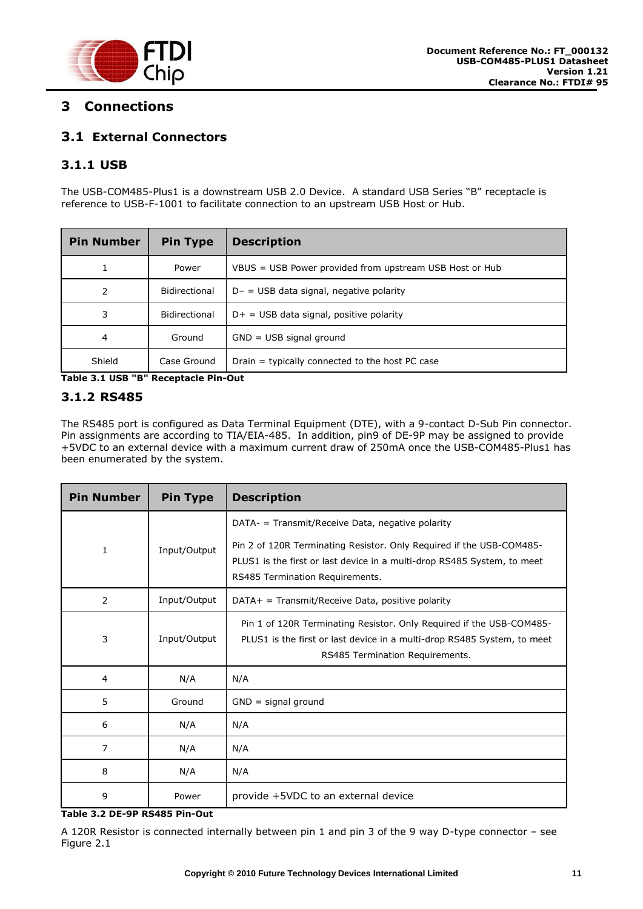

# <span id="page-11-1"></span>**3 Connections**

# <span id="page-11-2"></span>**3.1 External Connectors**

# <span id="page-11-3"></span>**3.1.1 USB**

The USB-COM485-Plus1 is a downstream USB 2.0 Device. A standard USB Series "B" receptacle is reference to USB-F-1001 to facilitate connection to an upstream USB Host or Hub.

| <b>Pin Number</b> | <b>Pin Type</b> | <b>Description</b>                                      |
|-------------------|-----------------|---------------------------------------------------------|
| 1                 | Power           | VBUS = USB Power provided from upstream USB Host or Hub |
| 2                 | Bidirectional   | $D - =$ USB data signal, negative polarity              |
| 3                 | Bidirectional   | $D+$ = USB data signal, positive polarity               |
| 4                 | Ground          | $GND = USB$ signal ground                               |
| Shield            | Case Ground     | Drain = typically connected to the host PC case         |

<span id="page-11-4"></span>**Table 3.1 USB "B" Receptacle Pin-Out**

#### <span id="page-11-0"></span>**3.1.2 RS485**

The RS485 port is configured as Data Terminal Equipment (DTE), with a 9-contact D-Sub Pin connector. Pin assignments are according to TIA/EIA-485. In addition, pin9 of DE-9P may be assigned to provide +5VDC to an external device with a maximum current draw of 250mA once the USB-COM485-Plus1 has been enumerated by the system.

| <b>Pin Number</b> | <b>Pin Type</b> | <b>Description</b>                                                                                                                                                                 |
|-------------------|-----------------|------------------------------------------------------------------------------------------------------------------------------------------------------------------------------------|
|                   |                 | DATA- = Transmit/Receive Data, negative polarity                                                                                                                                   |
| $\mathbf{1}$      | Input/Output    | Pin 2 of 120R Terminating Resistor. Only Required if the USB-COM485-<br>PLUS1 is the first or last device in a multi-drop RS485 System, to meet<br>RS485 Termination Requirements. |
| 2                 | Input/Output    | $DATA+$ = Transmit/Receive Data, positive polarity                                                                                                                                 |
| 3                 | Input/Output    | Pin 1 of 120R Terminating Resistor. Only Required if the USB-COM485-<br>PLUS1 is the first or last device in a multi-drop RS485 System, to meet<br>RS485 Termination Requirements. |
| $\overline{4}$    | N/A             | N/A                                                                                                                                                                                |
| 5                 | Ground          | $GND =$ signal ground                                                                                                                                                              |
| 6                 | N/A             | N/A                                                                                                                                                                                |
| 7                 | N/A             | N/A                                                                                                                                                                                |
| 8                 | N/A             | N/A                                                                                                                                                                                |
| 9                 | Power           | provide +5VDC to an external device                                                                                                                                                |

#### <span id="page-11-5"></span>**Table 3.2 DE-9P RS485 Pin-Out**

A 120R Resistor is connected internally between pin 1 and pin 3 of the 9 way D-type connector – see [Figure 2.1](#page-6-3)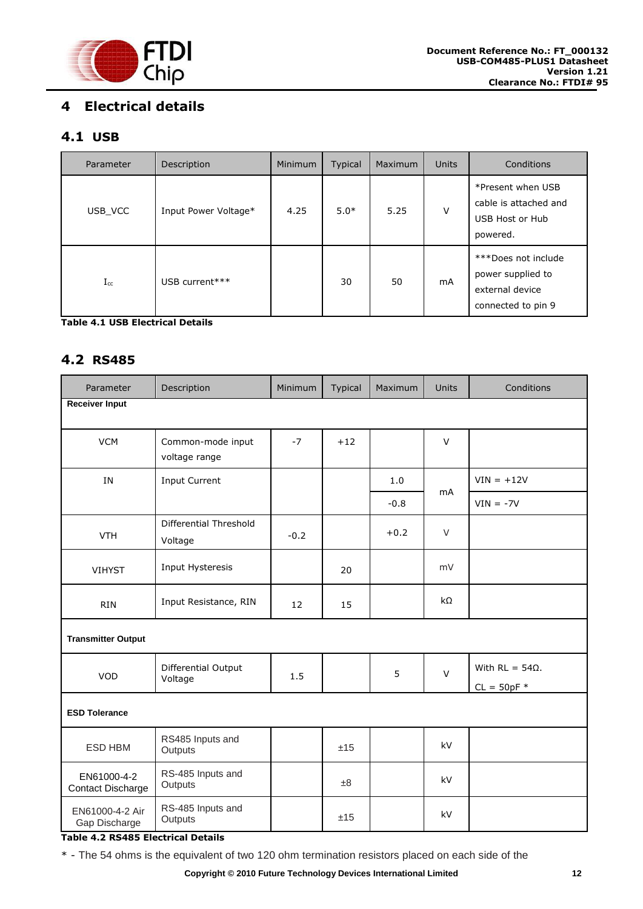

# <span id="page-12-0"></span>**4 Electrical details**

## <span id="page-12-1"></span>**4.1 USB**

| Parameter | Description          | <b>Minimum</b> | <b>Typical</b> | Maximum | <b>Units</b> | Conditions                                                                        |
|-----------|----------------------|----------------|----------------|---------|--------------|-----------------------------------------------------------------------------------|
| USB VCC   | Input Power Voltage* | 4.25           | $5.0*$         | 5.25    | $\vee$       | *Present when USB<br>cable is attached and<br>USB Host or Hub<br>powered.         |
| $I_{cc}$  | USB current***       |                | 30             | 50      | mA           | ***Does not include<br>power supplied to<br>external device<br>connected to pin 9 |

<span id="page-12-3"></span>**Table 4.1 USB Electrical Details**

#### <span id="page-12-2"></span>**4.2 RS485**

| Parameter                        | Description                        | Minimum | Typical | Maximum | <b>Units</b> | Conditions                              |
|----------------------------------|------------------------------------|---------|---------|---------|--------------|-----------------------------------------|
| <b>Receiver Input</b>            |                                    |         |         |         |              |                                         |
| <b>VCM</b>                       | Common-mode input<br>voltage range | $-7$    | $+12$   |         | $\vee$       |                                         |
| IN                               | <b>Input Current</b>               |         |         | 1.0     |              | $VIN = +12V$                            |
|                                  |                                    |         |         | $-0.8$  | <b>mA</b>    | $VIN = -7V$                             |
| <b>VTH</b>                       | Differential Threshold<br>Voltage  | $-0.2$  |         | $+0.2$  | $\vee$       |                                         |
| <b>VIHYST</b>                    | Input Hysteresis                   |         | 20      |         | mV           |                                         |
| <b>RIN</b>                       | Input Resistance, RIN              | 12      | 15      |         | $k\Omega$    |                                         |
| <b>Transmitter Output</b>        |                                    |         |         |         |              |                                         |
| <b>VOD</b>                       | Differential Output<br>Voltage     | 1.5     |         | 5       | $\vee$       | With $RL = 54\Omega$ .<br>$CL = 50pF$ * |
| <b>ESD Tolerance</b>             |                                    |         |         |         |              |                                         |
| ESD HBM                          | RS485 Inputs and<br>Outputs        |         | ±15     |         | kV           |                                         |
| EN61000-4-2<br>Contact Discharge | RS-485 Inputs and<br>Outputs       |         | ±8      |         | kV           |                                         |
| EN61000-4-2 Air<br>Gap Discharge | RS-485 Inputs and<br>Outputs       |         | ±15     |         | kV           |                                         |

#### <span id="page-12-4"></span>**Table 4.2 RS485 Electrical Details**

\* - The 54 ohms is the equivalent of two 120 ohm termination resistors placed on each side of the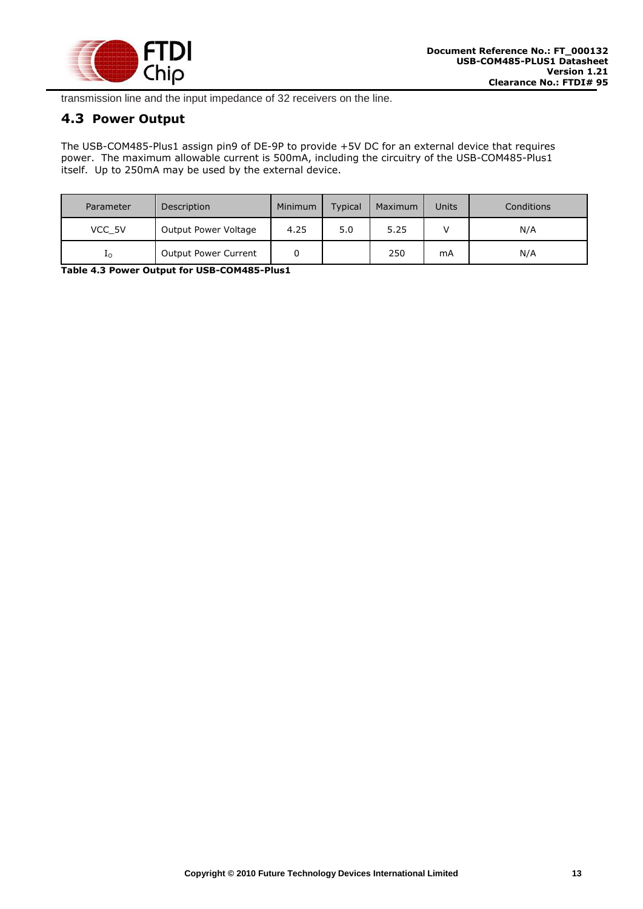

transmission line and the input impedance of 32 receivers on the line.

## <span id="page-13-0"></span>**4.3 Power Output**

The USB-COM485-Plus1 assign pin9 of DE-9P to provide +5V DC for an external device that requires power. The maximum allowable current is 500mA, including the circuitry of the USB-COM485-Plus1 itself. Up to 250mA may be used by the external device.

| Parameter | Description                 | Minimum | <b>Typical</b> | Maximum | Units | Conditions |
|-----------|-----------------------------|---------|----------------|---------|-------|------------|
| VCC 5V    | Output Power Voltage        | 4.25    | 5.0            | 5.25    |       | N/A        |
| Ιo        | <b>Output Power Current</b> |         |                | 250     | mA    | N/A        |

<span id="page-13-1"></span>**Table 4.3 Power Output for USB-COM485-Plus1**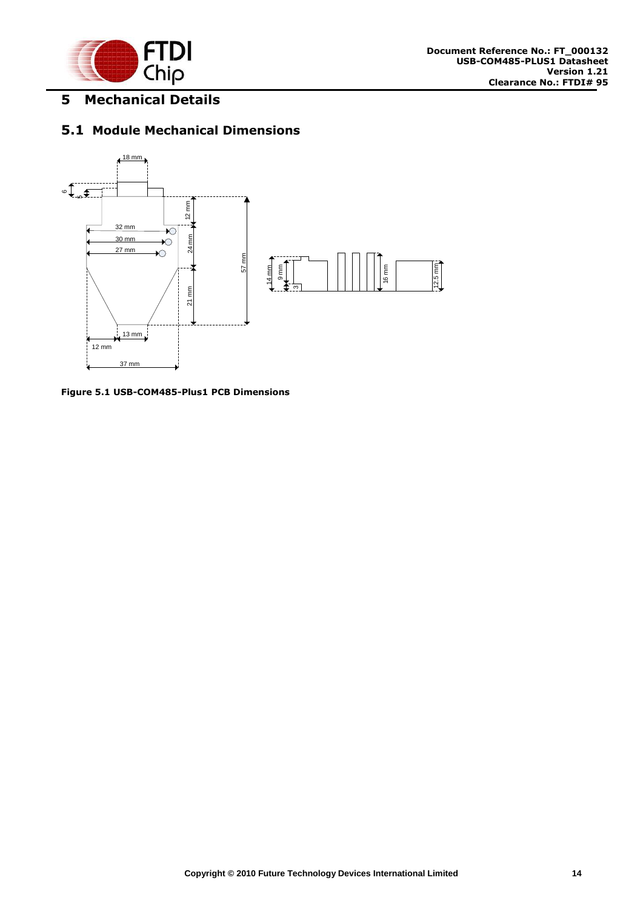

# <span id="page-14-0"></span>**5 Mechanical Details**

# <span id="page-14-1"></span>**5.1 Module Mechanical Dimensions**



<span id="page-14-2"></span>**Figure 5.1 USB-COM485-Plus1 PCB Dimensions**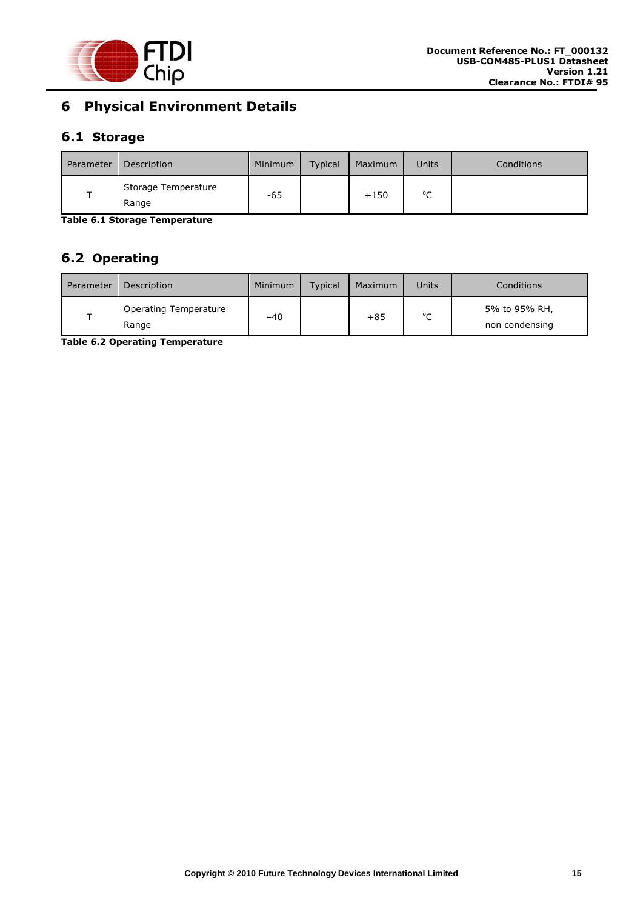

# <span id="page-15-0"></span>**6 Physical Environment Details**

# <span id="page-15-1"></span>**6.1 Storage**

| Parameter | Description                  | Minimum | <b>Typical</b> | Maximum | Units       | <b>Conditions</b> |
|-----------|------------------------------|---------|----------------|---------|-------------|-------------------|
|           | Storage Temperature<br>Range | -65     |                | $+150$  | $\sim$<br>֊ |                   |

<span id="page-15-3"></span>**Table 6.1 Storage Temperature** 

# <span id="page-15-2"></span>**6.2 Operating**

| Parameter | Description                    | Minimum | Typical | Maximum | Units       | Conditions                      |
|-----------|--------------------------------|---------|---------|---------|-------------|---------------------------------|
|           | Operating Temperature<br>Range | $-40$   |         | $+85$   | $\sim$<br>◡ | 5% to 95% RH,<br>non condensing |

<span id="page-15-4"></span>**Table 6.2 Operating Temperature**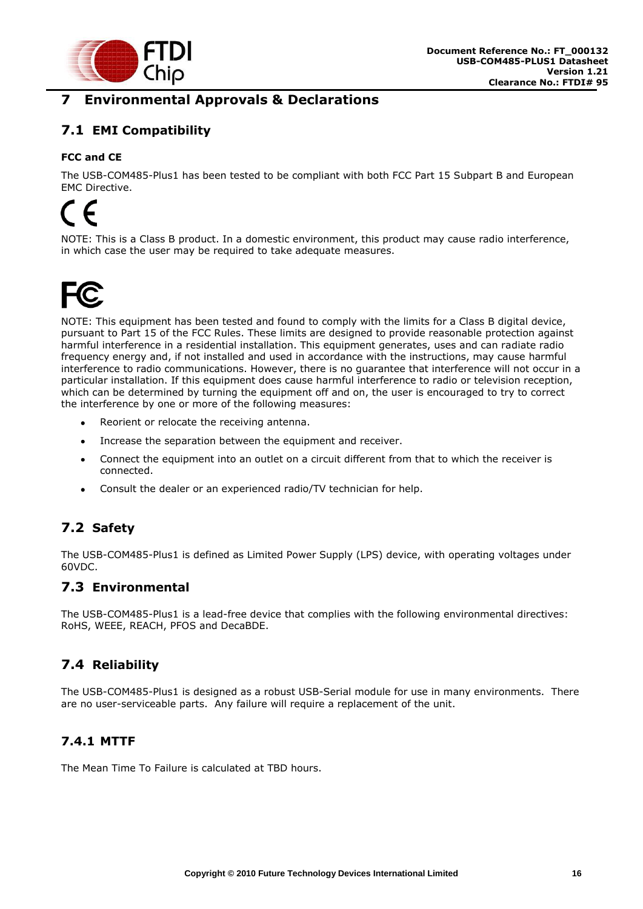

# <span id="page-16-0"></span>**7 Environmental Approvals & Declarations**

# <span id="page-16-1"></span>**7.1 EMI Compatibility**

#### **FCC and CE**

The USB-COM485-Plus1 has been tested to be compliant with both FCC Part 15 Subpart B and European EMC Directive.

# $\epsilon$

NOTE: This is a Class B product. In a domestic environment, this product may cause radio interference, in which case the user may be required to take adequate measures.



NOTE: This equipment has been tested and found to comply with the limits for a Class B digital device, pursuant to Part 15 of the FCC Rules. These limits are designed to provide reasonable protection against harmful interference in a residential installation. This equipment generates, uses and can radiate radio frequency energy and, if not installed and used in accordance with the instructions, may cause harmful interference to radio communications. However, there is no guarantee that interference will not occur in a particular installation. If this equipment does cause harmful interference to radio or television reception, which can be determined by turning the equipment off and on, the user is encouraged to try to correct the interference by one or more of the following measures:

- Reorient or relocate the receiving antenna.
- $\bullet$ Increase the separation between the equipment and receiver.
- Connect the equipment into an outlet on a circuit different from that to which the receiver is  $\bullet$ connected.
- Consult the dealer or an experienced radio/TV technician for help.  $\bullet$

# <span id="page-16-2"></span>**7.2 Safety**

The USB-COM485-Plus1 is defined as Limited Power Supply (LPS) device, with operating voltages under 60VDC.

### <span id="page-16-3"></span>**7.3 Environmental**

The USB-COM485-Plus1 is a lead-free device that complies with the following environmental directives: RoHS, WEEE, REACH, PFOS and DecaBDE.

# <span id="page-16-4"></span>**7.4 Reliability**

The USB-COM485-Plus1 is designed as a robust USB-Serial module for use in many environments. There are no user-serviceable parts. Any failure will require a replacement of the unit.

#### <span id="page-16-5"></span>**7.4.1 MTTF**

The Mean Time To Failure is calculated at TBD hours.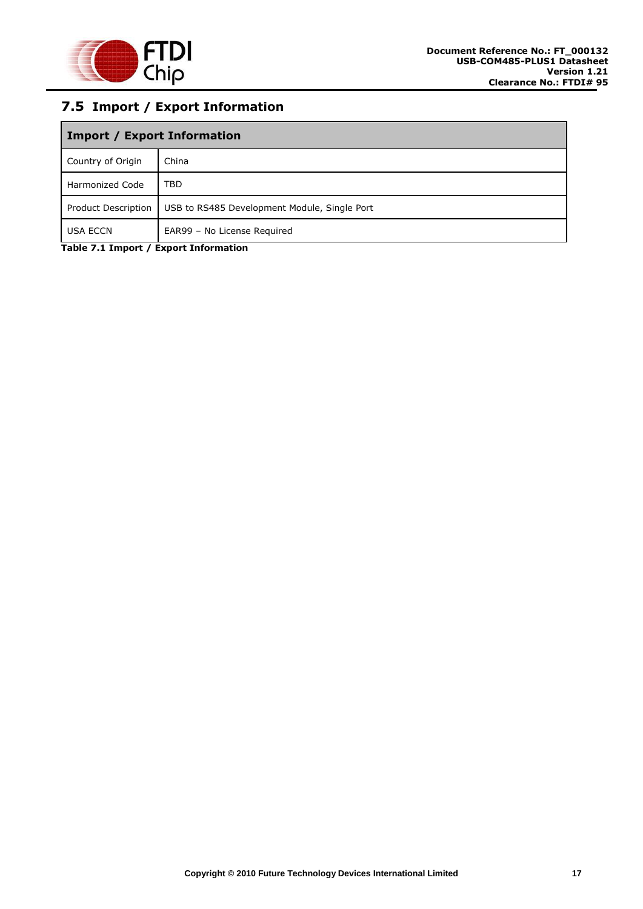

# <span id="page-17-0"></span>**7.5 Import / Export Information**

| <b>Import / Export Information</b> |                                              |  |  |  |
|------------------------------------|----------------------------------------------|--|--|--|
| Country of Origin                  | China                                        |  |  |  |
| <b>Harmonized Code</b>             | <b>TBD</b>                                   |  |  |  |
| Product Description                | USB to RS485 Development Module, Single Port |  |  |  |
| <b>USA ECCN</b>                    | EAR99 - No License Required                  |  |  |  |

<span id="page-17-1"></span>**Table 7.1 Import / Export Information**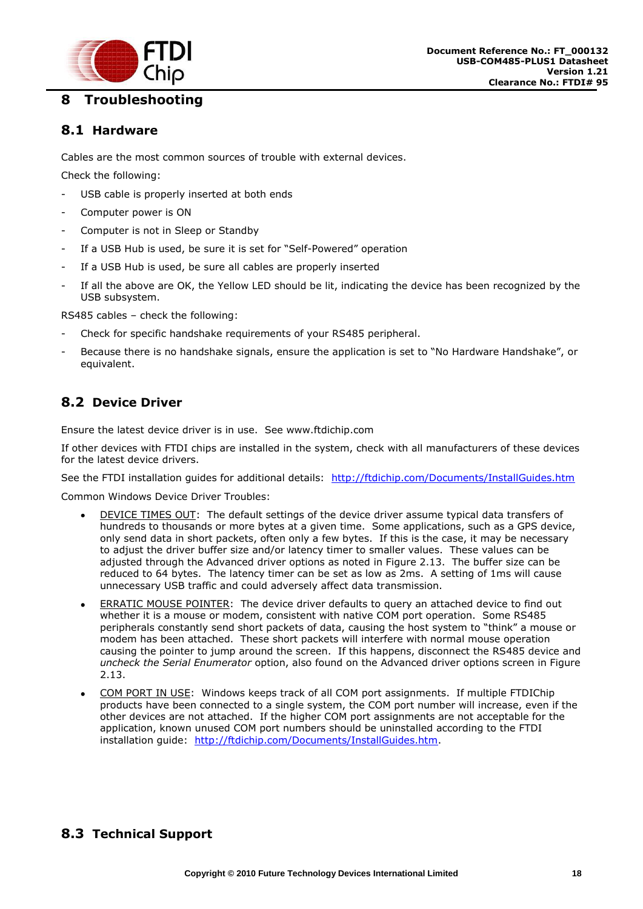

# <span id="page-18-0"></span>**8 Troubleshooting**

#### <span id="page-18-1"></span>**8.1 Hardware**

Cables are the most common sources of trouble with external devices.

Check the following:

- USB cable is properly inserted at both ends
- Computer power is ON
- Computer is not in Sleep or Standby
- If a USB Hub is used, be sure it is set for "Self-Powered" operation
- If a USB Hub is used, be sure all cables are properly inserted
- If all the above are OK, the Yellow LED should be lit, indicating the device has been recognized by the USB subsystem.

RS485 cables – check the following:

- Check for specific handshake requirements of your RS485 peripheral.
- Because there is no handshake signals, ensure the application is set to "No Hardware Handshake", or equivalent.

## <span id="page-18-2"></span>**8.2 Device Driver**

Ensure the latest device driver is in use. See www.ftdichip.com

If other devices with FTDI chips are installed in the system, check with all manufacturers of these devices for the latest device drivers.

See the FTDI installation guides for additional details: <http://ftdichip.com/Documents/InstallGuides.htm>

Common Windows Device Driver Troubles:

- DEVICE TIMES OUT: The default settings of the device driver assume typical data transfers of  $\bullet$ hundreds to thousands or more bytes at a given time. Some applications, such as a GPS device, only send data in short packets, often only a few bytes. If this is the case, it may be necessary to adjust the driver buffer size and/or latency timer to smaller values. These values can be adjusted through the Advanced driver options as noted in Figure 2.13. The buffer size can be reduced to 64 bytes. The latency timer can be set as low as 2ms. A setting of 1ms will cause unnecessary USB traffic and could adversely affect data transmission.
- ERRATIC MOUSE POINTER: The device driver defaults to query an attached device to find out whether it is a mouse or modem, consistent with native COM port operation. Some RS485 peripherals constantly send short packets of data, causing the host system to "think" a mouse or modem has been attached. These short packets will interfere with normal mouse operation causing the pointer to jump around the screen. If this happens, disconnect the RS485 device and *uncheck the Serial Enumerator* option, also found on the Advanced driver options screen in Figure 2.13.
- COM PORT IN USE: Windows keeps track of all COM port assignments. If multiple FTDIChip products have been connected to a single system, the COM port number will increase, even if the other devices are not attached. If the higher COM port assignments are not acceptable for the application, known unused COM port numbers should be uninstalled according to the FTDI installation guide: [http://ftdichip.com/Documents/InstallGuides.htm.](http://ftdichip.com/Documents/InstallGuides.htm)

# <span id="page-18-3"></span>**8.3 Technical Support**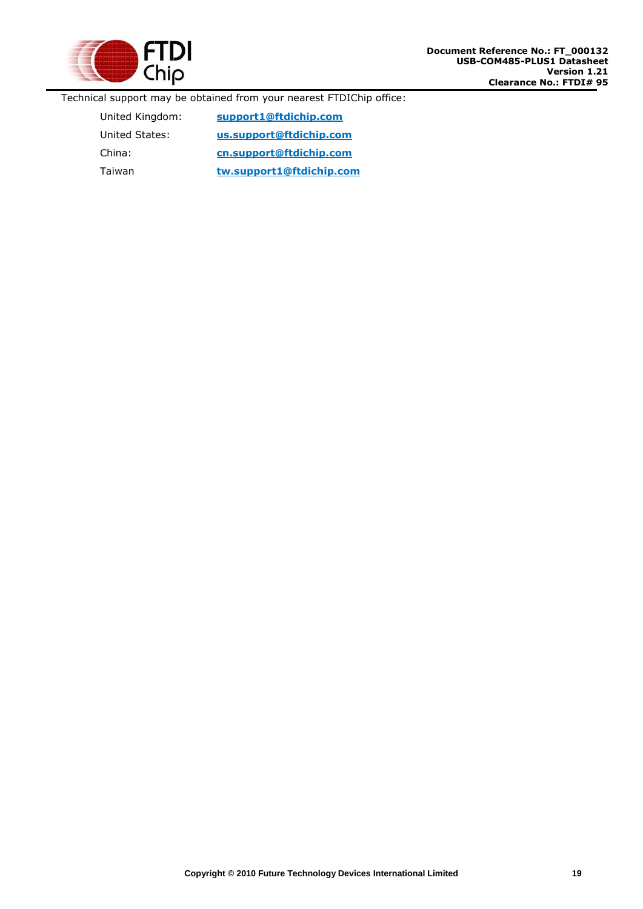

Technical support may be obtained from your nearest FTDIChip office:

United Kingdom: **[support1@ftdichip.com](mailto:support1@ftdichip.com)** United States: **[us.support@ftdichip.com](mailto:us.support@ftdichip.com)** China: **[cn.support@ftdichip.](mailto:cn.support@ftdichip)com** Taiwan **[tw.support1@ftdichip.com](mailto:tw.support1@ftdichip.com)**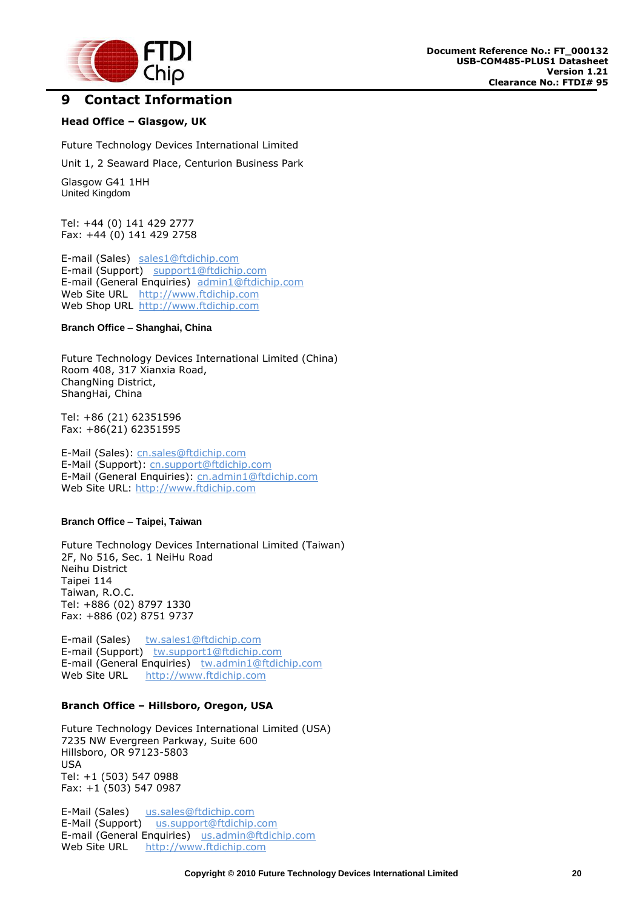

#### <span id="page-20-0"></span>**9 Contact Information**

#### **Head Office – Glasgow, UK**

Future Technology Devices International Limited

Unit 1, 2 Seaward Place, Centurion Business Park

Glasgow G41 1HH United Kingdom

Tel: +44 (0) 141 429 2777 Fax: +44 (0) 141 429 2758

E-mail (Sales) [sales1@ftdichip.com](mailto:sales1@ftdichip.com) E-mail (Support) [support1@ftdichip.com](mailto:support1@ftdichip.com) E-mail (General Enquiries) [admin1@ftdichip.com](mailto:admin1@ftdichip.com) Web Site URL [http://www.ftdichip.com](http://www.ftdichip.com/) Web Shop URL [http://www.ftdichip.com](http://www.ftdichip.com/)

#### **Branch Office – Shanghai, China**

Future Technology Devices International Limited (China) Room 408, 317 Xianxia Road, ChangNing District, ShangHai, China

Tel: +86 [\(21\) 6](LiveCall:(503)547-0988)2351596 Fax: +8[6\(21\) 6](LiveCall:(503)547-0987)2351595

E-Mail (Sales): [cn.sales@ftdichip.com](mailto:cn.sales@ftdichip.com) E-Mail (Support): c[n.support@ftdichip.](mailto:.support@ftdichip)com E-Mail (General Enquiries): cn[.admin1@ftdichip.com](mailto:admin1@ftdichip.com) Web Site URL: [http://www.ftdichip.com](http://www.ftdichip.com/)

#### **Branch Office – Taipei, Taiwan**

Future Technology Devices International Limited (Taiwan) 2F, No 516, Sec. 1 NeiHu Road Neihu District Taipei 114 Taiwan, R.O.C. Tel: +886 (02) 8797 1330 Fax: +886 (02) 8751 9737

E-mail (Sales) [tw.sales1@ftdichip.com](mailto:tw.sales1@ftdichip.com) E-mail (Support) [tw.support1@ftdichip.com](mailto:tw.support1@ftdichip.com) E-mail (General Enquiries) [tw.admin1@ftdichip.com](mailto:tw.admin1@ftdichip.com) Web Site URL [http://www.ftdichip.com](http://www.ftdichip.com/)

#### **Branch Office – Hillsboro, Oregon, USA**

Future Technology Devices International Limited (USA) 7235 NW Evergreen Parkway, Suite 600 Hillsboro, OR 97123-5803 USA Tel: +1 (503) 547 0988 Fax: +1 (503) 547 0987

E-Mail (Sales) [us.sales@ftdichip.com](mailto:us.sales@ftdichip.com) E-Mail (Support) [us.support@ftdichip.com](mailto:us.support@ftdichip.com) E-mail (General Enquiries) [us.admin@ftdichip.com](mailto:us.admin@ftdichip.com) Web Site URL [http://www.ftdichip.com](http://www.ftdichip.com/)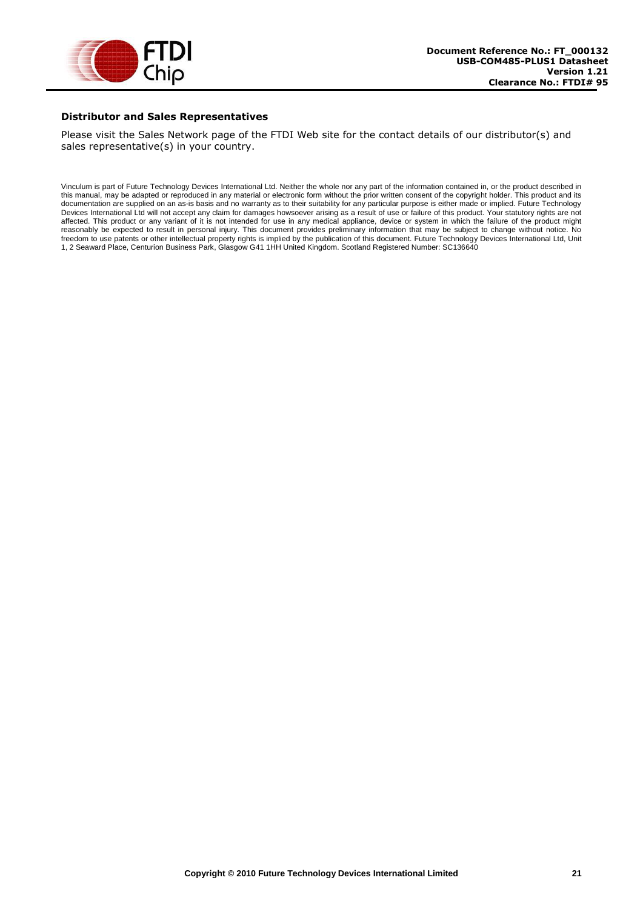

#### **Distributor and Sales Representatives**

Please visit the Sales Network page of the FTDI Web site for the contact details of our distributor(s) and sales representative(s) in your country.

Vinculum is part of Future Technology Devices International Ltd. Neither the whole nor any part of the information contained in, or the product described in this manual, may be adapted or reproduced in any material or electronic form without the prior written consent of the copyright holder. This product and its documentation are supplied on an as-is basis and no warranty as to their suitability for any particular purpose is either made or implied. Future Technology Devices International Ltd will not accept any claim for damages howsoever arising as a result of use or failure of this product. Your statutory rights are not affected. This product or any variant of it is not intended for use in any medical appliance, device or system in which the failure of the product might reasonably be expected to result in personal injury. This document provides preliminary information that may be subject to change without notice. No freedom to use patents or other intellectual property rights is implied by the publication of this document. Future Technology Devices International Ltd, Unit 1, 2 Seaward Place, Centurion Business Park, Glasgow G41 1HH United Kingdom. Scotland Registered Number: SC136640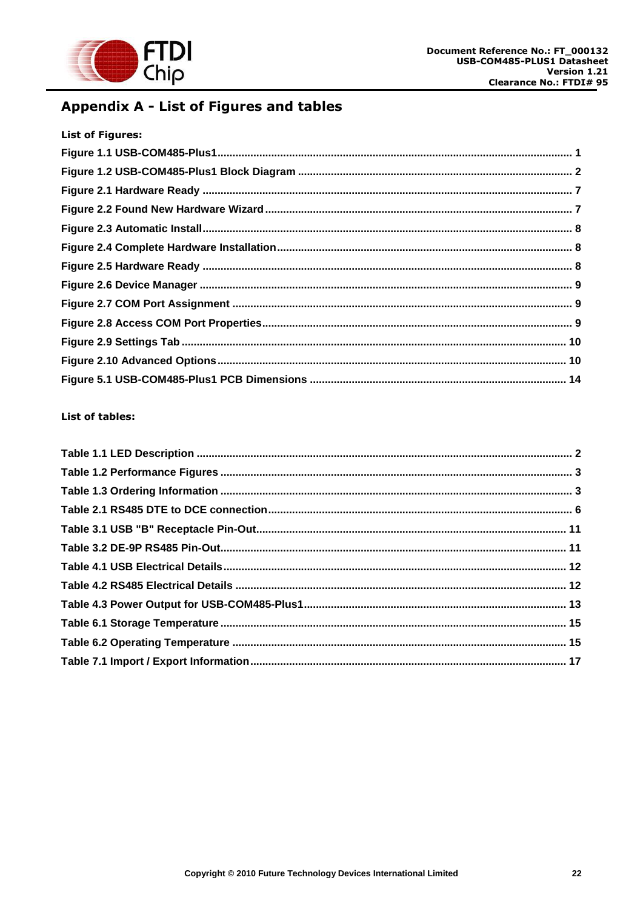

# <span id="page-22-0"></span>Appendix A - List of Figures and tables

| <b>List of Figures:</b> |  |
|-------------------------|--|
|                         |  |
|                         |  |
|                         |  |
|                         |  |
|                         |  |
|                         |  |
|                         |  |
|                         |  |
|                         |  |
|                         |  |
|                         |  |
|                         |  |
|                         |  |

#### List of tables: